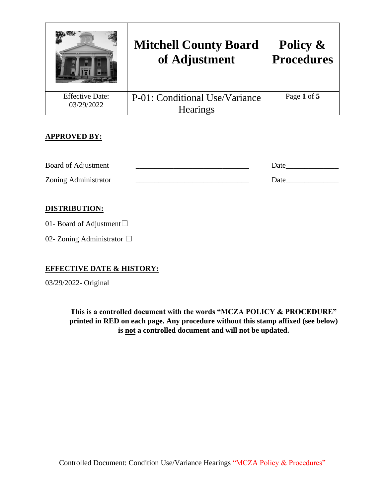|                                      | <b>Mitchell County Board</b><br>of Adjustment | Policy &<br><b>Procedures</b> |
|--------------------------------------|-----------------------------------------------|-------------------------------|
| <b>Effective Date:</b><br>03/29/2022 | P-01: Conditional Use/Variance                | Page 1 of 5                   |
|                                      | <b>Hearings</b>                               |                               |

# **APPROVED BY:**

| Board of Adjustment  | Date |
|----------------------|------|
| Zoning Administrator | Date |

# **DISTRIBUTION:**

01- Board of Adjustment□

02- Zoning Administrator □

## **EFFECTIVE DATE & HISTORY:**

03/29/2022- Original

**This is a controlled document with the words "MCZA POLICY & PROCEDURE" printed in RED on each page. Any procedure without this stamp affixed (see below) is not a controlled document and will not be updated.**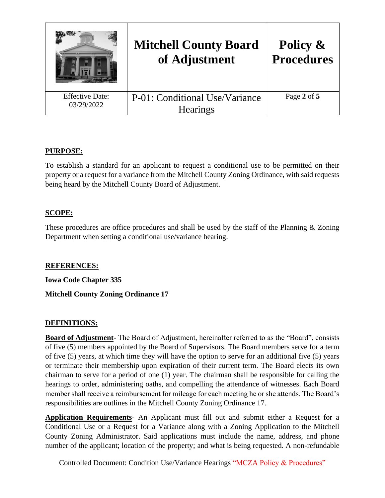|                                      | <b>Mitchell County Board</b><br>of Adjustment     | Policy &<br><b>Procedures</b> |
|--------------------------------------|---------------------------------------------------|-------------------------------|
| <b>Effective Date:</b><br>03/29/2022 | P-01: Conditional Use/Variance<br><b>Hearings</b> | Page 2 of 5                   |

## **PURPOSE:**

To establish a standard for an applicant to request a conditional use to be permitted on their property or a request for a variance from the Mitchell County Zoning Ordinance, with said requests being heard by the Mitchell County Board of Adjustment.

## **SCOPE:**

These procedures are office procedures and shall be used by the staff of the Planning  $\&$  Zoning Department when setting a conditional use/variance hearing.

## **REFERENCES:**

**Iowa Code Chapter 335**

## **Mitchell County Zoning Ordinance 17**

## **DEFINITIONS:**

**Board of Adjustment**- The Board of Adjustment, hereinafter referred to as the "Board", consists of five (5) members appointed by the Board of Supervisors. The Board members serve for a term of five (5) years, at which time they will have the option to serve for an additional five (5) years or terminate their membership upon expiration of their current term. The Board elects its own chairman to serve for a period of one (1) year. The chairman shall be responsible for calling the hearings to order, administering oaths, and compelling the attendance of witnesses. Each Board member shall receive a reimbursement for mileage for each meeting he or she attends. The Board's responsibilities are outlines in the Mitchell County Zoning Ordinance 17.

**Application Requirements**- An Applicant must fill out and submit either a Request for a Conditional Use or a Request for a Variance along with a Zoning Application to the Mitchell County Zoning Administrator. Said applications must include the name, address, and phone number of the applicant; location of the property; and what is being requested. A non-refundable

Controlled Document: Condition Use/Variance Hearings "MCZA Policy & Procedures"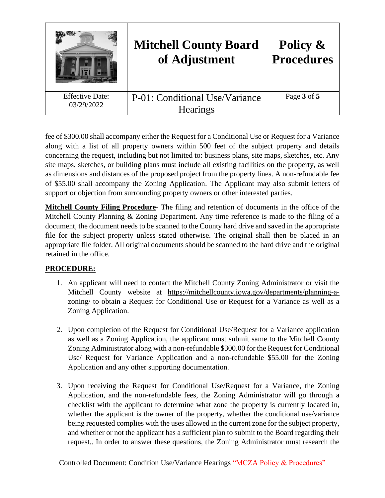

fee of \$300.00 shall accompany either the Request for a Conditional Use or Request for a Variance along with a list of all property owners within 500 feet of the subject property and details concerning the request, including but not limited to: business plans, site maps, sketches, etc. Any site maps, sketches, or building plans must include all existing facilities on the property, as well as dimensions and distances of the proposed project from the property lines. A non-refundable fee of \$55.00 shall accompany the Zoning Application. The Applicant may also submit letters of support or objection from surrounding property owners or other interested parties.

**Mitchell County Filing Procedure**- The filing and retention of documents in the office of the Mitchell County Planning & Zoning Department. Any time reference is made to the filing of a document, the document needs to be scanned to the County hard drive and saved in the appropriate file for the subject property unless stated otherwise. The original shall then be placed in an appropriate file folder. All original documents should be scanned to the hard drive and the original retained in the office.

# **PROCEDURE:**

- 1. An applicant will need to contact the Mitchell County Zoning Administrator or visit the Mitchell County website at https://mitchellcounty.iowa.gov/departments/planning-azoning/ to obtain a Request for Conditional Use or Request for a Variance as well as a Zoning Application.
- 2. Upon completion of the Request for Conditional Use/Request for a Variance application as well as a Zoning Application, the applicant must submit same to the Mitchell County Zoning Administrator along with a non-refundable \$300.00 for the Request for Conditional Use/ Request for Variance Application and a non-refundable \$55.00 for the Zoning Application and any other supporting documentation.
- 3. Upon receiving the Request for Conditional Use/Request for a Variance, the Zoning Application, and the non-refundable fees, the Zoning Administrator will go through a checklist with the applicant to determine what zone the property is currently located in, whether the applicant is the owner of the property, whether the conditional use/variance being requested complies with the uses allowed in the current zone for the subject property, and whether or not the applicant has a sufficient plan to submit to the Board regarding their request.. In order to answer these questions, the Zoning Administrator must research the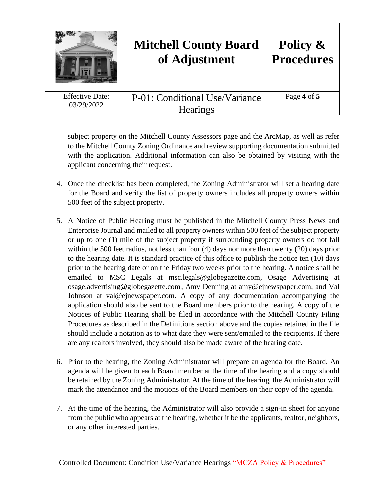|                                      | <b>Mitchell County Board</b><br>of Adjustment     | Policy &<br><b>Procedures</b> |
|--------------------------------------|---------------------------------------------------|-------------------------------|
| <b>Effective Date:</b><br>03/29/2022 | P-01: Conditional Use/Variance<br><b>Hearings</b> | Page 4 of 5                   |

subject property on the Mitchell County Assessors page and the ArcMap, as well as refer to the Mitchell County Zoning Ordinance and review supporting documentation submitted with the application. Additional information can also be obtained by visiting with the applicant concerning their request.

- 4. Once the checklist has been completed, the Zoning Administrator will set a hearing date for the Board and verify the list of property owners includes all property owners within 500 feet of the subject property.
- 5. A Notice of Public Hearing must be published in the Mitchell County Press News and Enterprise Journal and mailed to all property owners within 500 feet of the subject property or up to one (1) mile of the subject property if surrounding property owners do not fall within the 500 feet radius, not less than four (4) days nor more than twenty (20) days prior to the hearing date. It is standard practice of this office to publish the notice ten (10) days prior to the hearing date or on the Friday two weeks prior to the hearing. A notice shall be emailed to MSC Legals at msc.legals@globegazette.com, Osage Advertising at osage.advertising@globegazette.com, Amy Denning at amy@ejnewspaper.com, and Val Johnson at val@ejnewspaper.com. A copy of any documentation accompanying the application should also be sent to the Board members prior to the hearing. A copy of the Notices of Public Hearing shall be filed in accordance with the Mitchell County Filing Procedures as described in the Definitions section above and the copies retained in the file should include a notation as to what date they were sent/emailed to the recipients. If there are any realtors involved, they should also be made aware of the hearing date.
- 6. Prior to the hearing, the Zoning Administrator will prepare an agenda for the Board. An agenda will be given to each Board member at the time of the hearing and a copy should be retained by the Zoning Administrator. At the time of the hearing, the Administrator will mark the attendance and the motions of the Board members on their copy of the agenda.
- 7. At the time of the hearing, the Administrator will also provide a sign-in sheet for anyone from the public who appears at the hearing, whether it be the applicants, realtor, neighbors, or any other interested parties.